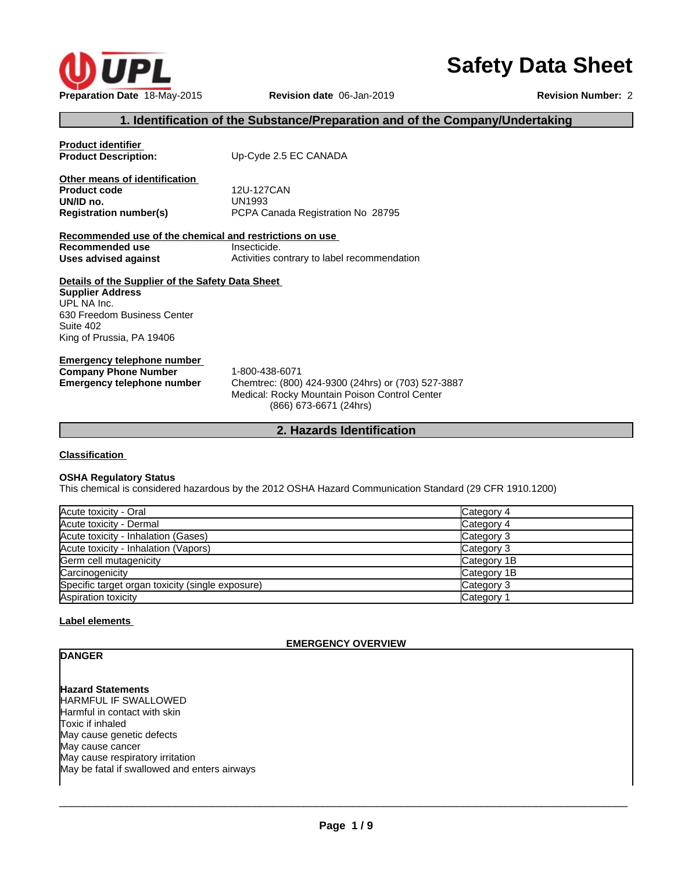

# **Safety Data Sheet**

# **1. Identification of the Substance/Preparation and of the Company/Undertaking**

| <b>Product identifier</b><br><b>Product Description:</b>                                                                                                            | Up-Cyde 2.5 EC CANADA                                                                                                                           |
|---------------------------------------------------------------------------------------------------------------------------------------------------------------------|-------------------------------------------------------------------------------------------------------------------------------------------------|
|                                                                                                                                                                     |                                                                                                                                                 |
| Other means of identification                                                                                                                                       |                                                                                                                                                 |
| <b>Product code</b>                                                                                                                                                 | 12U-127CAN                                                                                                                                      |
| UN/ID no.                                                                                                                                                           | UN1993                                                                                                                                          |
| <b>Registration number(s)</b>                                                                                                                                       | PCPA Canada Registration No 28795                                                                                                               |
|                                                                                                                                                                     |                                                                                                                                                 |
| Recommended use of the chemical and restrictions on use                                                                                                             |                                                                                                                                                 |
| Recommended use                                                                                                                                                     | Insecticide.                                                                                                                                    |
| Uses advised against                                                                                                                                                | Activities contrary to label recommendation                                                                                                     |
| Details of the Supplier of the Safety Data Sheet<br><b>Supplier Address</b><br>UPL NA Inc.<br>630 Freedom Business Center<br>Suite 402<br>King of Prussia, PA 19406 |                                                                                                                                                 |
| <b>Emergency telephone number</b><br><b>Company Phone Number</b><br><b>Emergency telephone number</b>                                                               | 1-800-438-6071<br>Chemtrec: (800) 424-9300 (24hrs) or (703) 527-3887<br>Medical: Rocky Mountain Poison Control Center<br>(866) 673-6671 (24hrs) |

**2. Hazards Identification**

**Classification**

### **OSHA Regulatory Status**

This chemical is considered hazardous by the 2012 OSHA Hazard Communication Standard (29 CFR 1910.1200)

| Acute toxicity - Oral                            | Category 4  |
|--------------------------------------------------|-------------|
| Acute toxicity - Dermal                          | Category 4  |
| Acute toxicity - Inhalation (Gases)              | Category 3  |
| Acute toxicity - Inhalation (Vapors)             | Category 3  |
| Germ cell mutagenicity                           | Category 1B |
| Carcinogenicity                                  | Category 1B |
| Specific target organ toxicity (single exposure) | Category 3  |
| Aspiration toxicity                              | Category 1  |

#### **Label elements**

#### **EMERGENCY OVERVIEW**

# **DANGER**

**Hazard Statements** HARMFUL IF SWALLOWED Harmful in contact with skin Toxic if inhaled May cause genetic defects May cause cancer May cause respiratory irritation May be fatal if swallowed and enters airways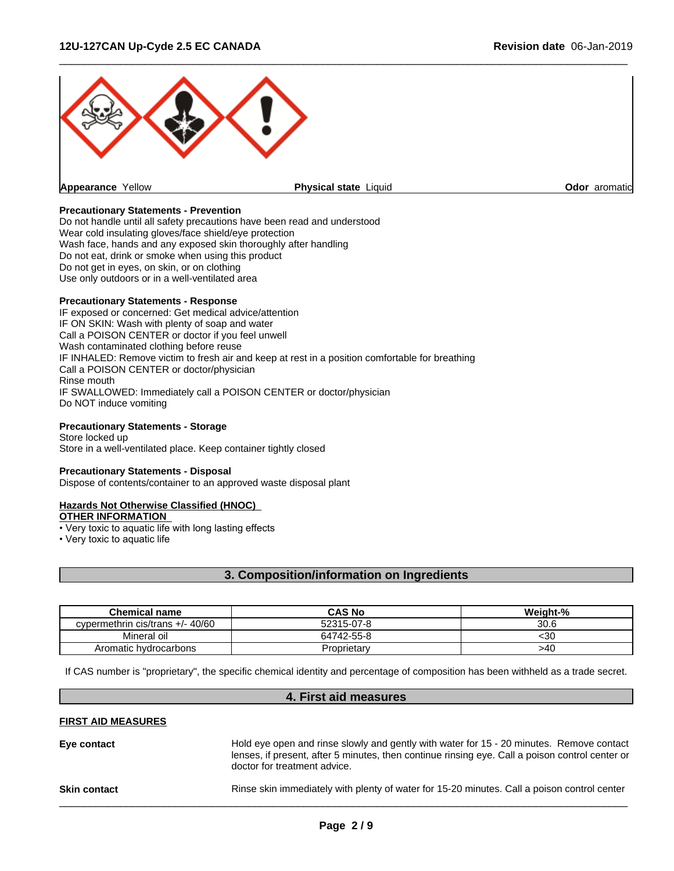

 $\overline{\phantom{a}}$  ,  $\overline{\phantom{a}}$  ,  $\overline{\phantom{a}}$  ,  $\overline{\phantom{a}}$  ,  $\overline{\phantom{a}}$  ,  $\overline{\phantom{a}}$  ,  $\overline{\phantom{a}}$  ,  $\overline{\phantom{a}}$  ,  $\overline{\phantom{a}}$  ,  $\overline{\phantom{a}}$  ,  $\overline{\phantom{a}}$  ,  $\overline{\phantom{a}}$  ,  $\overline{\phantom{a}}$  ,  $\overline{\phantom{a}}$  ,  $\overline{\phantom{a}}$  ,  $\overline{\phantom{a}}$ 

#### **Precautionary Statements - Prevention**

Do not handle until all safety precautions have been read and understood Wear cold insulating gloves/face shield/eye protection Wash face, hands and any exposed skin thoroughly after handling Do not eat, drink or smoke when using this product Do not get in eyes, on skin, or on clothing Use only outdoors or in a well-ventilated area

#### **Precautionary Statements - Response**

IF exposed or concerned: Get medical advice/attention IF ON SKIN: Wash with plenty of soap and water Call a POISON CENTER or doctor if you feel unwell Wash contaminated clothing before reuse IF INHALED: Remove victim to fresh air and keep at rest in a position comfortable for breathing Call a POISON CENTER or doctor/physician Rinse mouth IF SWALLOWED: Immediately call a POISON CENTER or doctor/physician Do NOT induce vomiting

#### **Precautionary Statements - Storage**

Store locked up Store in a well-ventilated place. Keep container tightly closed

#### **Precautionary Statements - Disposal**

Dispose of contents/container to an approved waste disposal plant

#### **Hazards Not Otherwise Classified (HNOC)**

**OTHER INFORMATION**

• Very toxic to aquatic life with long lasting effects

• Very toxic to aquatic life

# **3. Composition/information on Ingredients**

| <b>Chemical name</b>               | <b>CAS No</b> | Weight-% |
|------------------------------------|---------------|----------|
| cypermethrin cis/trans $+/- 40/60$ | 52315-07-8    | 30.6     |
| Mineral oil                        | 64742-55-8    | 30>      |
| Aromatic hydrocarbons              | Proprietary   | >40      |

If CAS number is "proprietary", the specific chemical identity and percentage of composition has been withheld as a trade secret.

# **4. First aid measures**

# **FIRST AID MEASURES**

| Eye contact         | Hold eye open and rinse slowly and gently with water for 15 - 20 minutes. Remove contact<br>lenses, if present, after 5 minutes, then continue rinsing eye. Call a poison control center or<br>doctor for treatment advice. |
|---------------------|-----------------------------------------------------------------------------------------------------------------------------------------------------------------------------------------------------------------------------|
| <b>Skin contact</b> | Rinse skin immediately with plenty of water for 15-20 minutes. Call a poison control center                                                                                                                                 |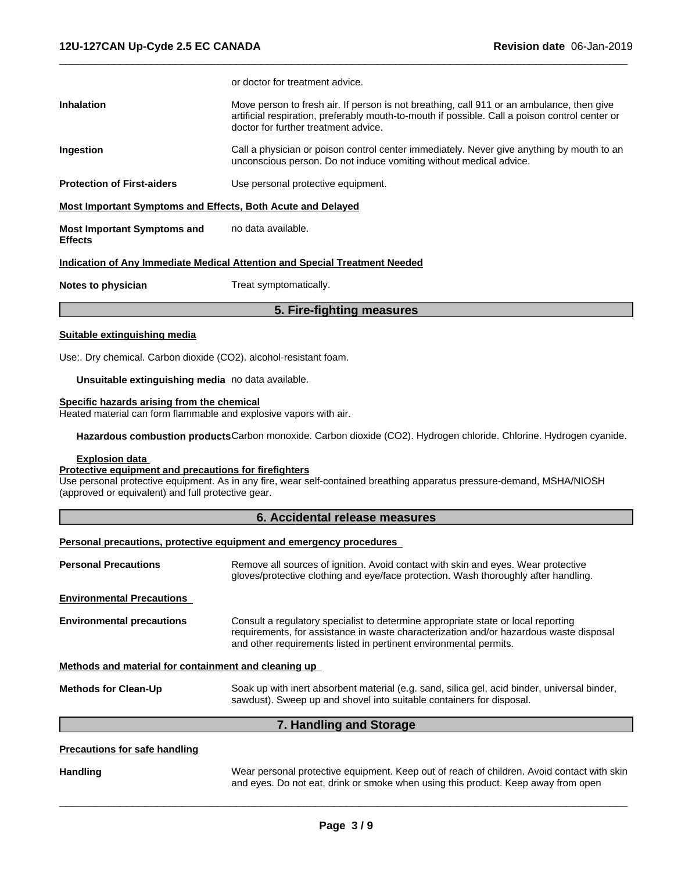|                                                             | or doctor for treatment advice.                                                                                                                                                                                                     |
|-------------------------------------------------------------|-------------------------------------------------------------------------------------------------------------------------------------------------------------------------------------------------------------------------------------|
| <b>Inhalation</b>                                           | Move person to fresh air. If person is not breathing, call 911 or an ambulance, then give<br>artificial respiration, preferably mouth-to-mouth if possible. Call a poison control center or<br>doctor for further treatment advice. |
| Ingestion                                                   | Call a physician or poison control center immediately. Never give anything by mouth to an<br>unconscious person. Do not induce vomiting without medical advice.                                                                     |
| <b>Protection of First-aiders</b>                           | Use personal protective equipment.                                                                                                                                                                                                  |
| Most Important Symptoms and Effects, Both Acute and Delayed |                                                                                                                                                                                                                                     |
| <b>Most Important Symptoms and</b><br><b>Effects</b>        | no data available.                                                                                                                                                                                                                  |
|                                                             | <b>Indication of Any Immediate Medical Attention and Special Treatment Needed</b>                                                                                                                                                   |
| Notes to physician                                          | Treat symptomatically.                                                                                                                                                                                                              |

 $\overline{\phantom{a}}$  ,  $\overline{\phantom{a}}$  ,  $\overline{\phantom{a}}$  ,  $\overline{\phantom{a}}$  ,  $\overline{\phantom{a}}$  ,  $\overline{\phantom{a}}$  ,  $\overline{\phantom{a}}$  ,  $\overline{\phantom{a}}$  ,  $\overline{\phantom{a}}$  ,  $\overline{\phantom{a}}$  ,  $\overline{\phantom{a}}$  ,  $\overline{\phantom{a}}$  ,  $\overline{\phantom{a}}$  ,  $\overline{\phantom{a}}$  ,  $\overline{\phantom{a}}$  ,  $\overline{\phantom{a}}$ 

# **5. Fire-fighting measures**

#### **Suitable extinguishing media**

Use:. Dry chemical. Carbon dioxide (CO2). alcohol-resistant foam.

**Unsuitable extinguishing media** no data available.

#### **Specific hazards arising from the chemical**

Heated material can form flammable and explosive vapors with air.

**Hazardous combustion products**Carbon monoxide. Carbon dioxide (CO2). Hydrogen chloride. Chlorine. Hydrogen cyanide.

#### **Explosion data**

#### **Protective equipment and precautions for firefighters**

Use personal protective equipment. As in any fire, wear self-contained breathing apparatus pressure-demand, MSHA/NIOSH (approved or equivalent) and full protective gear.

# **6. Accidental release measures**

#### **Personal precautions, protective equipment and emergency procedures**

| <b>Personal Precautions</b>                          | Remove all sources of ignition. Avoid contact with skin and eyes. Wear protective<br>gloves/protective clothing and eye/face protection. Wash thoroughly after handling.                                                                         |
|------------------------------------------------------|--------------------------------------------------------------------------------------------------------------------------------------------------------------------------------------------------------------------------------------------------|
| <b>Environmental Precautions</b>                     |                                                                                                                                                                                                                                                  |
| <b>Environmental precautions</b>                     | Consult a regulatory specialist to determine appropriate state or local reporting<br>requirements, for assistance in waste characterization and/or hazardous waste disposal<br>and other requirements listed in pertinent environmental permits. |
| Methods and material for containment and cleaning up |                                                                                                                                                                                                                                                  |
| <b>Methods for Clean-Up</b>                          | Soak up with inert absorbent material (e.g. sand, silica gel, acid binder, universal binder,<br>sawdust). Sweep up and shovel into suitable containers for disposal.                                                                             |
|                                                      | 7. Handling and Storage                                                                                                                                                                                                                          |
| <b>Precautions for safe handling</b>                 |                                                                                                                                                                                                                                                  |

Handling **Handling** Wear personal protective equipment. Keep out of reach of children. Avoid contact with skin and eyes. Do not eat, drink or smoke when using this product. Keep away from open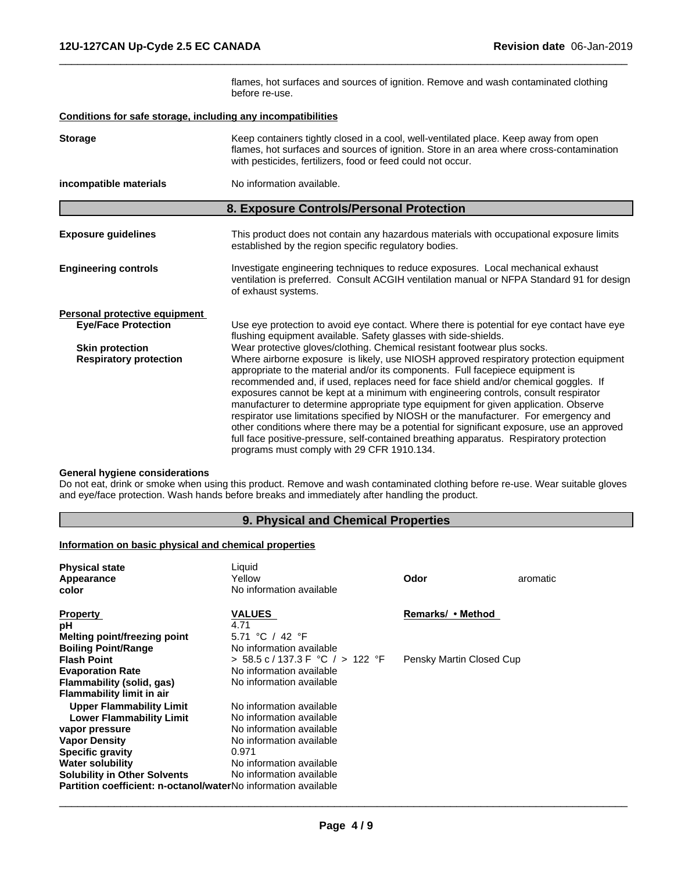flames, hot surfaces and sources of ignition. Remove and wash contaminated clothing before re-use.

 $\overline{\phantom{a}}$  ,  $\overline{\phantom{a}}$  ,  $\overline{\phantom{a}}$  ,  $\overline{\phantom{a}}$  ,  $\overline{\phantom{a}}$  ,  $\overline{\phantom{a}}$  ,  $\overline{\phantom{a}}$  ,  $\overline{\phantom{a}}$  ,  $\overline{\phantom{a}}$  ,  $\overline{\phantom{a}}$  ,  $\overline{\phantom{a}}$  ,  $\overline{\phantom{a}}$  ,  $\overline{\phantom{a}}$  ,  $\overline{\phantom{a}}$  ,  $\overline{\phantom{a}}$  ,  $\overline{\phantom{a}}$ 

#### **Conditions for safe storage, including any incompatibilities**

| <b>Storage</b>                                              | Keep containers tightly closed in a cool, well-ventilated place. Keep away from open<br>flames, hot surfaces and sources of ignition. Store in an area where cross-contamination<br>with pesticides, fertilizers, food or feed could not occur.                                                                                                                                                                                                                                                                                                                                                                                                                                                                                                                                                                                                         |
|-------------------------------------------------------------|---------------------------------------------------------------------------------------------------------------------------------------------------------------------------------------------------------------------------------------------------------------------------------------------------------------------------------------------------------------------------------------------------------------------------------------------------------------------------------------------------------------------------------------------------------------------------------------------------------------------------------------------------------------------------------------------------------------------------------------------------------------------------------------------------------------------------------------------------------|
| incompatible materials                                      | No information available.                                                                                                                                                                                                                                                                                                                                                                                                                                                                                                                                                                                                                                                                                                                                                                                                                               |
|                                                             | 8. Exposure Controls/Personal Protection                                                                                                                                                                                                                                                                                                                                                                                                                                                                                                                                                                                                                                                                                                                                                                                                                |
| <b>Exposure guidelines</b>                                  | This product does not contain any hazardous materials with occupational exposure limits<br>established by the region specific regulatory bodies.                                                                                                                                                                                                                                                                                                                                                                                                                                                                                                                                                                                                                                                                                                        |
| <b>Engineering controls</b>                                 | Investigate engineering techniques to reduce exposures. Local mechanical exhaust<br>ventilation is preferred. Consult ACGIH ventilation manual or NFPA Standard 91 for design<br>of exhaust systems.                                                                                                                                                                                                                                                                                                                                                                                                                                                                                                                                                                                                                                                    |
| Personal protective equipment<br><b>Eye/Face Protection</b> | Use eye protection to avoid eye contact. Where there is potential for eye contact have eye<br>flushing equipment available. Safety glasses with side-shields.                                                                                                                                                                                                                                                                                                                                                                                                                                                                                                                                                                                                                                                                                           |
| <b>Skin protection</b><br><b>Respiratory protection</b>     | Wear protective gloves/clothing. Chemical resistant footwear plus socks.<br>Where airborne exposure is likely, use NIOSH approved respiratory protection equipment<br>appropriate to the material and/or its components. Full facepiece equipment is<br>recommended and, if used, replaces need for face shield and/or chemical goggles. If<br>exposures cannot be kept at a minimum with engineering controls, consult respirator<br>manufacturer to determine appropriate type equipment for given application. Observe<br>respirator use limitations specified by NIOSH or the manufacturer. For emergency and<br>other conditions where there may be a potential for significant exposure, use an approved<br>full face positive-pressure, self-contained breathing apparatus. Respiratory protection<br>programs must comply with 29 CFR 1910.134. |

## **General hygiene considerations**

Do not eat, drink or smoke when using this product. Remove and wash contaminated clothing before re-use. Wear suitable gloves and eye/face protection. Wash hands before breaks and immediately after handling the product.

# **9. Physical and Chemical Properties**

# **Information on basic physical and chemical properties**

| <b>Physical state</b><br>Appearance<br>color                          | Liquid<br>Yellow<br>No information available | Odor                     | aromatic |
|-----------------------------------------------------------------------|----------------------------------------------|--------------------------|----------|
| <b>Property</b><br>рH                                                 | <b>VALUES</b><br>4.71                        | Remarks/ • Method        |          |
| Melting point/freezing point                                          | 5.71 °C / 42 °F                              |                          |          |
| <b>Boiling Point/Range</b>                                            | No information available                     |                          |          |
| <b>Flash Point</b>                                                    | $> 58.5$ c/137.3 F °C / $> 122$ °F           | Pensky Martin Closed Cup |          |
| <b>Evaporation Rate</b>                                               | No information available                     |                          |          |
| Flammability (solid, gas)                                             | No information available                     |                          |          |
| <b>Flammability limit in air</b>                                      |                                              |                          |          |
| <b>Upper Flammability Limit</b>                                       | No information available                     |                          |          |
| <b>Lower Flammability Limit</b>                                       | No information available                     |                          |          |
| vapor pressure                                                        | No information available                     |                          |          |
| <b>Vapor Density</b>                                                  | No information available                     |                          |          |
| <b>Specific gravity</b>                                               | 0.971                                        |                          |          |
| <b>Water solubility</b>                                               | No information available                     |                          |          |
| <b>Solubility in Other Solvents</b>                                   | No information available                     |                          |          |
| <b>Partition coefficient: n-octanol/waterNo information available</b> |                                              |                          |          |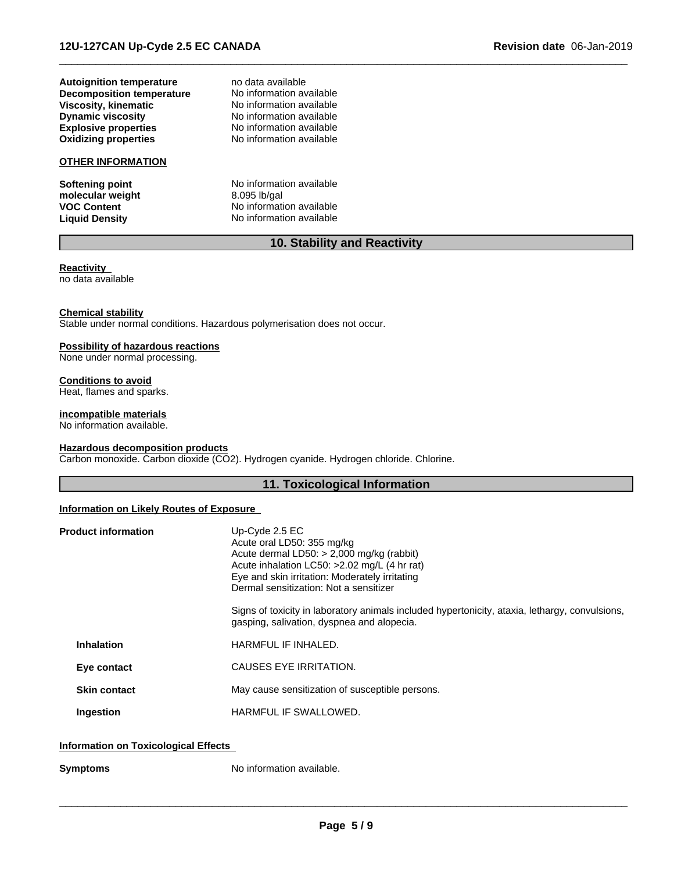**Explosive properties**<br> **Oxidizing properties**<br>
No information available **Autoignition temperature** and data available<br> **Decomposition temperature** Mo information available **Decomposition temperature** No information available<br> **Viscosity, kinematic** No information available **Viscosity, kinematic Dynamic viscosity** No information available

# **OTHER INFORMATION**

molecular weight<br>VOC Content

**No information available** 

**Softening point**<br> **nolecular weight**<br> **heta**<br> **heta**<br> **heta**<br> **heta**<br> **heta**<br> **heta**<br> **heta**<br> **heta**<br> **heta**<br> **heta**<br> **heta**<br> **heta**<br> **heta**<br> **heta**<br> **heta**<br> **heta**<br> **heta**<br> **heta**<br> **heta**<br> **heta**<br> **heta**<br> **heta**<br> **heta**<br> **VOC Content**<br> **Liquid Density**<br> **Liquid Density**<br> **No information available No information available** 

### **10. Stability and Reactivity**

 $\overline{\phantom{a}}$  ,  $\overline{\phantom{a}}$  ,  $\overline{\phantom{a}}$  ,  $\overline{\phantom{a}}$  ,  $\overline{\phantom{a}}$  ,  $\overline{\phantom{a}}$  ,  $\overline{\phantom{a}}$  ,  $\overline{\phantom{a}}$  ,  $\overline{\phantom{a}}$  ,  $\overline{\phantom{a}}$  ,  $\overline{\phantom{a}}$  ,  $\overline{\phantom{a}}$  ,  $\overline{\phantom{a}}$  ,  $\overline{\phantom{a}}$  ,  $\overline{\phantom{a}}$  ,  $\overline{\phantom{a}}$ 

#### **Reactivity** no data available

#### **Chemical stability**

Stable under normal conditions. Hazardous polymerisation does not occur.

# **Possibility of hazardous reactions**

None under normal processing.

### **Conditions to avoid**

Heat, flames and sparks.

#### **incompatible materials**

No information available.

#### **Hazardous decomposition products**

Carbon monoxide. Carbon dioxide (CO2). Hydrogen cyanide. Hydrogen chloride. Chlorine.

# **11. Toxicological Information**

### **Information on Likely Routes of Exposure**

| <b>Product information</b> | Up-Cyde $2.5$ EC<br>Acute oral LD50: 355 mg/kg<br>Acute dermal LD50: $> 2,000$ mg/kg (rabbit)<br>Acute inhalation LC50: >2.02 mg/L (4 hr rat)<br>Eye and skin irritation: Moderately irritating<br>Dermal sensitization: Not a sensitizer<br>Signs of toxicity in laboratory animals included hypertonicity, ataxia, lethargy, convulsions,<br>gasping, salivation, dyspnea and alopecia. |
|----------------------------|-------------------------------------------------------------------------------------------------------------------------------------------------------------------------------------------------------------------------------------------------------------------------------------------------------------------------------------------------------------------------------------------|
| <b>Inhalation</b>          | HARMFUL IF INHALED.                                                                                                                                                                                                                                                                                                                                                                       |
| Eye contact                | CAUSES EYE IRRITATION.                                                                                                                                                                                                                                                                                                                                                                    |
| <b>Skin contact</b>        | May cause sensitization of susceptible persons.                                                                                                                                                                                                                                                                                                                                           |
| Ingestion                  | <b>HARMFUL IF SWALLOWED.</b>                                                                                                                                                                                                                                                                                                                                                              |
|                            |                                                                                                                                                                                                                                                                                                                                                                                           |

#### **Information on Toxicological Effects**

**Symptoms** No information available.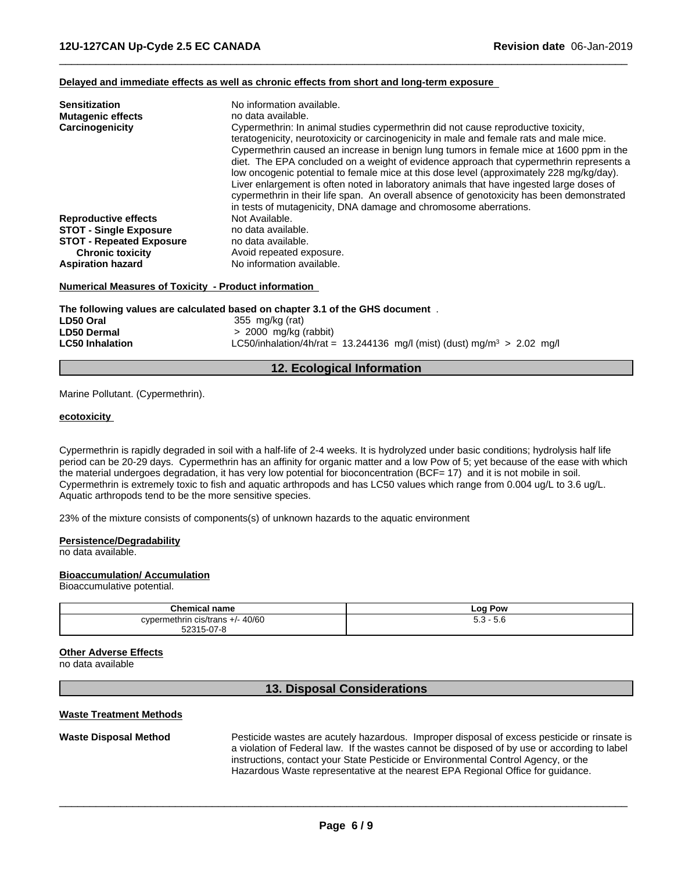#### **Delayed and immediate effects as well as chronic effects from short and long-term exposure**

| <b>Sensitization</b><br><b>Mutagenic effects</b><br>Carcinogenicity | No information available.<br>no data available.<br>Cypermethrin: In animal studies cypermethrin did not cause reproductive toxicity,<br>teratogenicity, neurotoxicity or carcinogenicity in male and female rats and male mice.<br>Cypermethrin caused an increase in benign lung tumors in female mice at 1600 ppm in the<br>diet. The EPA concluded on a weight of evidence approach that cypermethrin represents a<br>low oncogenic potential to female mice at this dose level (approximately 228 mg/kg/day).<br>Liver enlargement is often noted in laboratory animals that have ingested large doses of<br>cypermethrin in their life span. An overall absence of genotoxicity has been demonstrated<br>in tests of mutagenicity, DNA damage and chromosome aberrations. |
|---------------------------------------------------------------------|--------------------------------------------------------------------------------------------------------------------------------------------------------------------------------------------------------------------------------------------------------------------------------------------------------------------------------------------------------------------------------------------------------------------------------------------------------------------------------------------------------------------------------------------------------------------------------------------------------------------------------------------------------------------------------------------------------------------------------------------------------------------------------|
| <b>Reproductive effects</b>                                         | Not Available.                                                                                                                                                                                                                                                                                                                                                                                                                                                                                                                                                                                                                                                                                                                                                                 |
| <b>STOT - Single Exposure</b>                                       | no data available.                                                                                                                                                                                                                                                                                                                                                                                                                                                                                                                                                                                                                                                                                                                                                             |
| <b>STOT - Repeated Exposure</b>                                     | no data available.                                                                                                                                                                                                                                                                                                                                                                                                                                                                                                                                                                                                                                                                                                                                                             |
| <b>Chronic toxicity</b>                                             | Avoid repeated exposure.                                                                                                                                                                                                                                                                                                                                                                                                                                                                                                                                                                                                                                                                                                                                                       |
| <b>Aspiration hazard</b>                                            | No information available.                                                                                                                                                                                                                                                                                                                                                                                                                                                                                                                                                                                                                                                                                                                                                      |

 $\overline{\phantom{a}}$  ,  $\overline{\phantom{a}}$  ,  $\overline{\phantom{a}}$  ,  $\overline{\phantom{a}}$  ,  $\overline{\phantom{a}}$  ,  $\overline{\phantom{a}}$  ,  $\overline{\phantom{a}}$  ,  $\overline{\phantom{a}}$  ,  $\overline{\phantom{a}}$  ,  $\overline{\phantom{a}}$  ,  $\overline{\phantom{a}}$  ,  $\overline{\phantom{a}}$  ,  $\overline{\phantom{a}}$  ,  $\overline{\phantom{a}}$  ,  $\overline{\phantom{a}}$  ,  $\overline{\phantom{a}}$ 

#### **Numerical Measures of Toxicity - Product information**

**The following values are calculated based on chapter 3.1 of the GHS document** . **LD50 Oral 120 Contract 120 Contract 1355 mg/kg (rat)**<br> **LD50 Dermal** 2000 mg/kg ( **LD50 Dermal** > 2000 mg/kg (rabbit) **LC50/inhalation/4h/rat = 13.244136 mg/l (mist) (dust) mg/m<sup>3</sup> > 2.02 mg/l** 

#### **12. Ecological Information**

Marine Pollutant. (Cypermethrin).

#### **ecotoxicity**

Cypermethrin is rapidly degraded in soil with a half-life of 2-4 weeks. It is hydrolyzed under basic conditions; hydrolysis half life period can be 20-29 days. Cypermethrin has an affinity for organic matterand a low Pow of 5; yet because of the ease with which the material undergoes degradation, it has very low potential for bioconcentration (BCF= 17) and it is not mobile in soil. Cypermethrin is extremely toxic to fish and aquatic arthropods and has LC50 values which range from 0.004 ug/L to 3.6 ug/L.<br>Aquatic arthropods tend to be the more sensitive species.

23% of the mixture consists of components(s) of unknown hazards to the aquatic environment

#### **Persistence/Degradability**

no data available.

#### **Bioaccumulation/ Accumulation**

Bioaccumulative potential.

| <b>Chemical name</b>               | Pow<br>Log                 |
|------------------------------------|----------------------------|
| 40/60<br>cypermethrin<br>cis/trans | $\sim$<br>- ^<br>.o<br>ວ.ວ |
| 5231<br>ົ່າ-ເ<br>$11 - H$<br>      |                            |

#### **Other Adverse Effects**

no data available

# **13. Disposal Considerations**

#### **Waste Treatment Methods**

**Waste Disposal Method** Pesticide wastes are acutely hazardous. Improper disposal of excess pesticide or rinsate is a violation of Federal law. If the wastes cannot be disposed of by use or according to label instructions, contact your State Pesticide or Environmental Control Agency, or the Hazardous Waste representative at the nearest EPA Regional Office for guidance.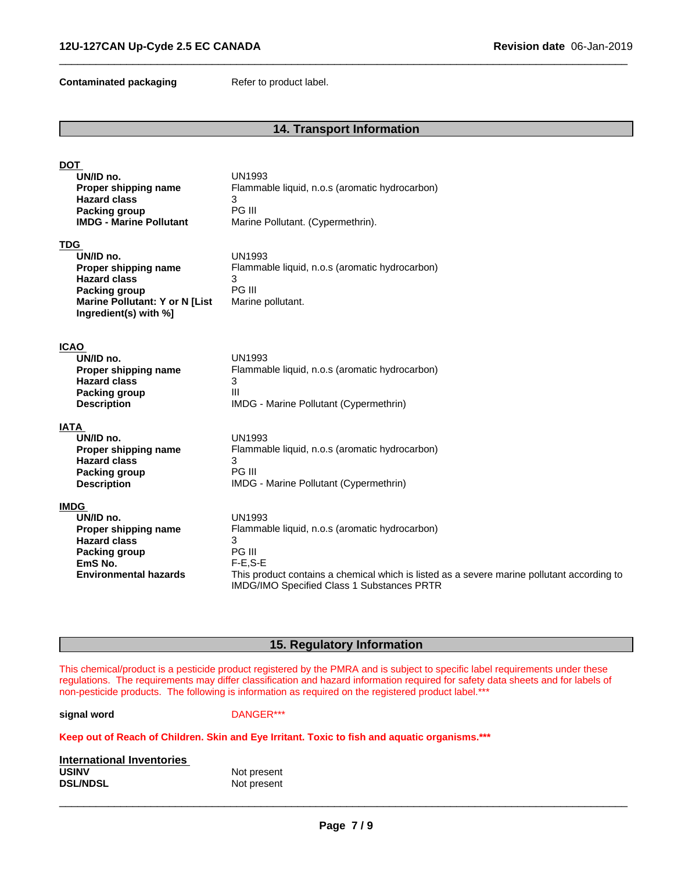**Contaminated packaging Refer to product label.** 

# **14. Transport Information**

 $\overline{\phantom{a}}$  ,  $\overline{\phantom{a}}$  ,  $\overline{\phantom{a}}$  ,  $\overline{\phantom{a}}$  ,  $\overline{\phantom{a}}$  ,  $\overline{\phantom{a}}$  ,  $\overline{\phantom{a}}$  ,  $\overline{\phantom{a}}$  ,  $\overline{\phantom{a}}$  ,  $\overline{\phantom{a}}$  ,  $\overline{\phantom{a}}$  ,  $\overline{\phantom{a}}$  ,  $\overline{\phantom{a}}$  ,  $\overline{\phantom{a}}$  ,  $\overline{\phantom{a}}$  ,  $\overline{\phantom{a}}$ 

| <b>DOT</b>                                  |                                                                                            |
|---------------------------------------------|--------------------------------------------------------------------------------------------|
| UN/ID no.<br>Proper shipping name           | <b>UN1993</b><br>Flammable liquid, n.o.s (aromatic hydrocarbon)                            |
| <b>Hazard class</b>                         | 3                                                                                          |
| Packing group                               | PG III                                                                                     |
| <b>IMDG - Marine Pollutant</b>              | Marine Pollutant. (Cypermethrin).                                                          |
| <b>TDG</b>                                  |                                                                                            |
| UN/ID no.                                   | <b>UN1993</b>                                                                              |
| Proper shipping name<br><b>Hazard class</b> | Flammable liquid, n.o.s (aromatic hydrocarbon)                                             |
| <b>Packing group</b>                        | 3<br>PG III                                                                                |
| <b>Marine Pollutant: Y or N [List</b>       | Marine pollutant.                                                                          |
| Ingredient(s) with %]                       |                                                                                            |
|                                             |                                                                                            |
| <b>ICAO</b>                                 |                                                                                            |
| UN/ID no.                                   | <b>UN1993</b>                                                                              |
| Proper shipping name<br><b>Hazard class</b> | Flammable liquid, n.o.s (aromatic hydrocarbon)<br>3                                        |
| <b>Packing group</b>                        | Ш                                                                                          |
| <b>Description</b>                          | IMDG - Marine Pollutant (Cypermethrin)                                                     |
| <b>IATA</b>                                 |                                                                                            |
| UN/ID no.                                   | <b>UN1993</b>                                                                              |
| Proper shipping name                        | Flammable liquid, n.o.s (aromatic hydrocarbon)                                             |
| <b>Hazard class</b>                         | 3                                                                                          |
| Packing group                               | PG III                                                                                     |
| <b>Description</b>                          | IMDG - Marine Pollutant (Cypermethrin)                                                     |
| <b>IMDG</b>                                 |                                                                                            |
| UN/ID no.                                   | <b>UN1993</b>                                                                              |
| Proper shipping name<br><b>Hazard class</b> | Flammable liquid, n.o.s (aromatic hydrocarbon)<br>3                                        |
| <b>Packing group</b>                        | PG III                                                                                     |
| EmS No.                                     | $F-E,S-E$                                                                                  |
| <b>Environmental hazards</b>                | This product contains a chemical which is listed as a severe marine pollutant according to |
|                                             | IMDG/IMO Specified Class 1 Substances PRTR                                                 |
|                                             |                                                                                            |

# **15. Regulatory Information**

This chemical/product is a pesticide product registered by the PMRA and is subject to specific label requirements under these regulations. The requirements may differ classification and hazard information required for safety data sheets and for labels of non-pesticide products. The following is information as required on the registered product label.\*\*\*

**signal word** DANGER\*\*\*

#### **Keep out of Reach of Children. Skin and Eye Irritant. Toxic to fish and aquatic organisms.\*\*\***

| International Inventories |             |  |
|---------------------------|-------------|--|
| <b>USINV</b>              | Not present |  |
| <b>DSL/NDSL</b>           | Not present |  |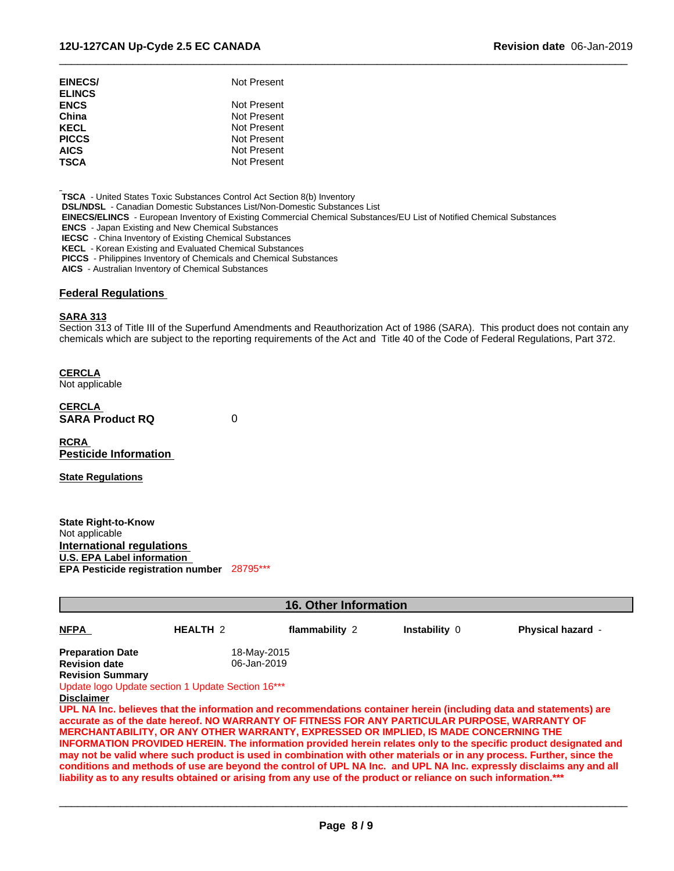| EINECS/<br><b>ELINCS</b> | Not Present |
|--------------------------|-------------|
| <b>ENCS</b>              | Not Present |
| China                    | Not Present |
| KECL                     | Not Present |
| <b>PICCS</b>             | Not Present |
| <b>AICS</b>              | Not Present |
| TSCA                     | Not Present |
|                          |             |

 **TSCA** - United States Toxic Substances Control Act Section 8(b) Inventory

 **DSL/NDSL** - Canadian Domestic Substances List/Non-Domestic Substances List

 **EINECS/ELINCS** - European Inventory of Existing Commercial Chemical Substances/EU List of Notified Chemical Substances

 **ENCS** - Japan Existing and New Chemical Substances

**IECSC** - China Inventory of Existing Chemical Substances

 **KECL** - Korean Existing and Evaluated Chemical Substances

 **PICCS** - Philippines Inventory of Chemicals and Chemical Substances

 **AICS** - Australian Inventory of Chemical Substances

#### **Federal Regulations**

#### **SARA 313**

Section 313 of Title III of the Superfund Amendments and Reauthorization Act of 1986 (SARA). This product does not contain any chemicals which are subject to the reporting requirements of the Act and Title 40 of the Code of Federal Regulations, Part 372.

 $\overline{\phantom{a}}$  ,  $\overline{\phantom{a}}$  ,  $\overline{\phantom{a}}$  ,  $\overline{\phantom{a}}$  ,  $\overline{\phantom{a}}$  ,  $\overline{\phantom{a}}$  ,  $\overline{\phantom{a}}$  ,  $\overline{\phantom{a}}$  ,  $\overline{\phantom{a}}$  ,  $\overline{\phantom{a}}$  ,  $\overline{\phantom{a}}$  ,  $\overline{\phantom{a}}$  ,  $\overline{\phantom{a}}$  ,  $\overline{\phantom{a}}$  ,  $\overline{\phantom{a}}$  ,  $\overline{\phantom{a}}$ 

**CERCLA**

Not applicable

**CERCLA SARA Product RQ** 0

**RCRA Pesticide Information**

**State Regulations**

**State Right-to-Know** Not applicable **International regulations U.S. EPA Label information EPA Pesticide registration number** 28795\*\*\*

| <b>16. Other Information</b> |                                                   |                                                                                                                 |               |                                                                                                                                                                                                                                              |  |  |  |
|------------------------------|---------------------------------------------------|-----------------------------------------------------------------------------------------------------------------|---------------|----------------------------------------------------------------------------------------------------------------------------------------------------------------------------------------------------------------------------------------------|--|--|--|
| <b>NFPA</b>                  | <b>HEALTH 2</b>                                   | flammability 2                                                                                                  | Instability 0 | Physical hazard -                                                                                                                                                                                                                            |  |  |  |
| <b>Preparation Date</b>      |                                                   | 18-May-2015                                                                                                     |               |                                                                                                                                                                                                                                              |  |  |  |
| <b>Revision date</b>         | 06-Jan-2019                                       |                                                                                                                 |               |                                                                                                                                                                                                                                              |  |  |  |
| <b>Revision Summary</b>      |                                                   |                                                                                                                 |               |                                                                                                                                                                                                                                              |  |  |  |
|                              | Update logo Update section 1 Update Section 16*** |                                                                                                                 |               |                                                                                                                                                                                                                                              |  |  |  |
| <b>Disclaimer</b>            |                                                   |                                                                                                                 |               |                                                                                                                                                                                                                                              |  |  |  |
|                              |                                                   | accurate as of the date hereof. NO WARRANTY OF FITNESS FOR ANY PARTICULAR PURPOSE, WARRANTY OF                  |               | UPL NA Inc. believes that the information and recommendations container herein (including data and statements) are                                                                                                                           |  |  |  |
|                              |                                                   | <b>MERCHANTABILITY, OR ANY OTHER WARRANTY, EXPRESSED OR IMPLIED, IS MADE CONCERNING THE</b>                     |               |                                                                                                                                                                                                                                              |  |  |  |
|                              |                                                   |                                                                                                                 |               | <b>INFORMATION PROVIDED HEREIN. The information provided herein relates only to the specific product designated and</b>                                                                                                                      |  |  |  |
|                              |                                                   | liability as to any results obtained or arising from any use of the product or reliance on such information.*** |               | may not be valid where such product is used in combination with other materials or in any process. Further, since the<br>conditions and methods of use are beyond the control of UPL NA Inc. and UPL NA Inc. expressly disclaims any and all |  |  |  |